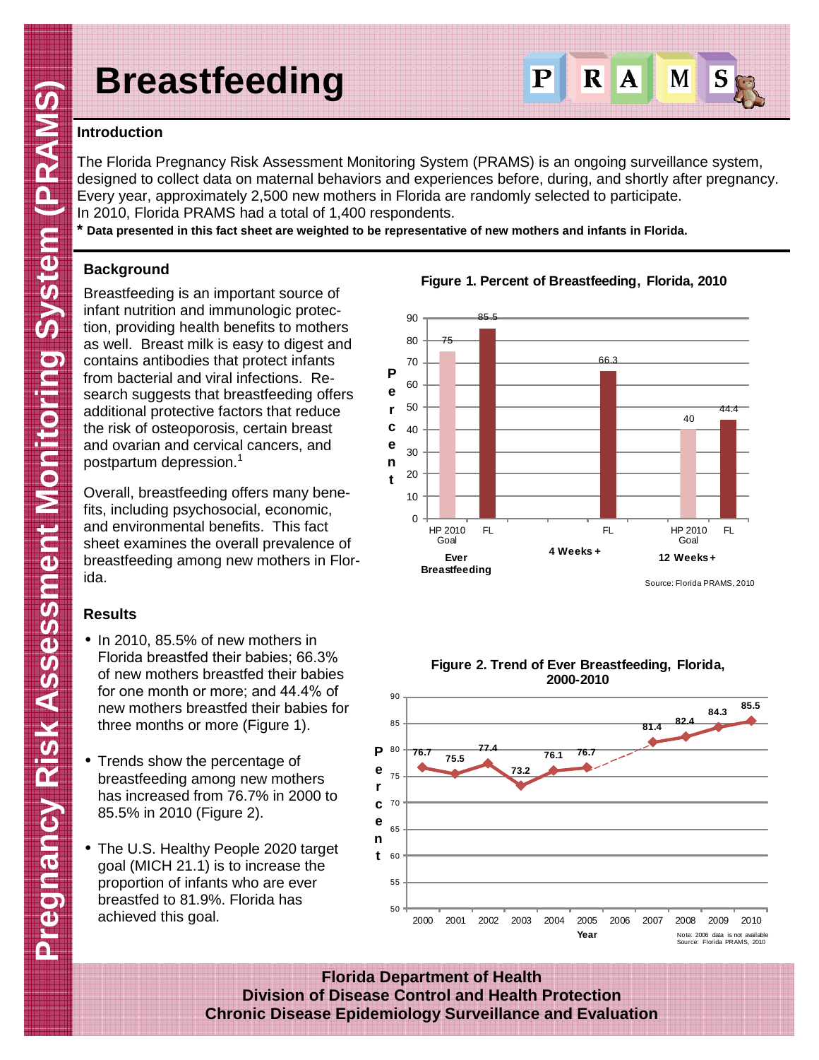# **Breastfeeding**



## **Introduction**

The Florida Pregnancy Risk Assessment Monitoring System (PRAMS) is an ongoing surveillance system, designed to collect data on maternal behaviors and experiences before, during, and shortly after pregnancy. Every year, approximately 2,500 new mothers in Florida are randomly selected to participate. In 2010, Florida PRAMS had a total of 1,400 respondents.

**\* Data presented in this fact sheet are weighted to be representative of new mothers and infants in Florida.**

## **Background**

Breastfeeding is an important source of infant nutrition and immunologic protection, providing health benefits to mothers as well. Breast milk is easy to digest and contains antibodies that protect infants from bacterial and viral infections. Research suggests that breastfeeding offers additional protective factors that reduce the risk of osteoporosis, certain breast and ovarian and cervical cancers, and postpartum depression.<sup>1</sup>

Overall, breastfeeding offers many benefits, including psychosocial, economic, and environmental benefits. This fact sheet examines the overall prevalence of breastfeeding among new mothers in Florida.

# **Results**

- In 2010, 85.5% of new mothers in Florida breastfed their babies; 66.3% of new mothers breastfed their babies for one month or more; and 44.4% of new mothers breastfed their babies for three months or more (Figure 1).
- Trends show the percentage of breastfeeding among new mothers has increased from 76.7% in 2000 to 85.5% in 2010 (Figure 2).
- The U.S. Healthy People 2020 target goal (MICH 21.1) is to increase the proportion of infants who are ever breastfed to 81.9%. Florida has achieved this goal.









**Florida Department of Health Division of Disease Control and Health Protection Chronic Disease Epidemiology Surveillance and Evaluation**